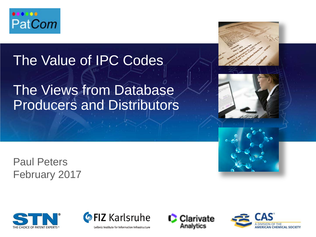

# The Value of IPC Codes

# The Views from Database Producers and Distributors

Paul Peters February 2017





Clarivate Analytics



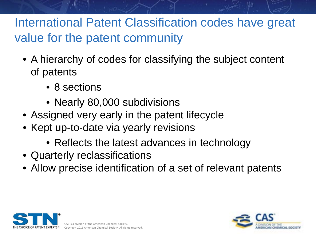# International Patent Classification codes have great value for the patent community

- A hierarchy of codes for classifying the subject content of patents
	- 8 sections
	- Nearly 80,000 subdivisions
- Assigned very early in the patent lifecycle
- Kept up-to-date via yearly revisions
	- Reflects the latest advances in technology
- Quarterly reclassifications
- Allow precise identification of a set of relevant patents



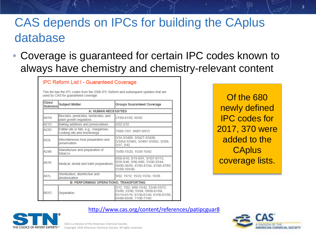# CAS depends on IPCs for building the CAplus database

• Coverage is guaranteed for certain IPC codes known to always have chemistry and chemistry-relevant content

| Class/<br><b>Subclass</b> | <b>Subject Matter</b>                                                  | <b>Groups Guaranteed Coverage</b>                                                                                                               |
|---------------------------|------------------------------------------------------------------------|-------------------------------------------------------------------------------------------------------------------------------------------------|
|                           | <b>A: HUMAN NECESSITIES</b>                                            |                                                                                                                                                 |
| A01N                      | Biocides, pesticides, herbicides, and<br>plant growth regulators       | 27/00-61/02. 65/02                                                                                                                              |
| A21D                      | Baking additives and preservatives                                     | 2/02-2/32                                                                                                                                       |
| A23D                      | Edible oils or fats, e.g., margarines,<br>cooking oils and shortenings | 7/005-7/01, 9/007-9/013                                                                                                                         |
| A23I                      | Miscellaneous food preparation and<br>preservation                     | 3/34-3/3409, 3/3427-3/3436,<br>3/3454-3/3463, 3/3481-3/3562, 3/358,<br>3/37, 3/42                                                               |
| A24B                      | Manufacture and preparation of<br>tobacco                              | 15/00-15/20, 15/26-15/42                                                                                                                        |
| A61K                      | Medical, dental and toilet preparations                                | 6/00-6/10, 8/19-8/91, 9/107-9/113,<br>9/28-9/46, 9/56-9/66, 31/00-33/44,<br>38/00-38/58, 47/00-47/44, 47/48-47/69,<br>51/00-103/40              |
| A61L                      | Sterilization, disinfection and<br>deodorization                       | 9/02, 15/12, 15/22-15/34, 15/38                                                                                                                 |
|                           | <b>B: PERFORMING OPERATIONS; TRANSPORTING</b>                          |                                                                                                                                                 |
| <b>B01D</b>               | Separation                                                             | 3/12. 7/02. 9/00-15/42. 53/48-53/72.<br>53/86, 53/90, 53/94, 59/00-61/04,<br>61/14-61/16, 61/36-61/44, 61/56-61/58,<br>65/06-65/08, 71/00-71/82 |

**IPC Reform List I - Guaranteed Coverage** 

Of the 680 newly defined IPC codes for 2017, 370 were added to the **CAplus** coverage lists.

#### <http://www.cas.org/content/references/patipcguar8>



CAS is a division of the American Chemical Society. Copyright 2016 American Chemical Society. All rights reserved.

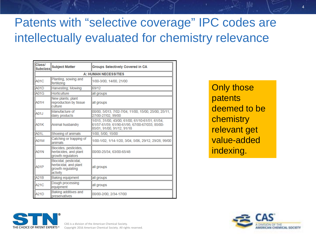# Patents with "selective coverage" IPC codes are intellectually evaluated for chemistry relevance

| Class/<br><b>Subclass</b>   | <b>Subject Matter</b>                                                           | <b>Groups Selectively Covered in CA</b>                                                                                         |  |  |
|-----------------------------|---------------------------------------------------------------------------------|---------------------------------------------------------------------------------------------------------------------------------|--|--|
| <b>A: HUMAN NECESSITIES</b> |                                                                                 |                                                                                                                                 |  |  |
| <b>A01C</b>                 | Planting, sowing and<br>fertilizing                                             | 1/00-3/00, 14/00, 21/00                                                                                                         |  |  |
| <b>A01D</b>                 | Harvesting; Mowing                                                              | 69/12                                                                                                                           |  |  |
| <b>A01G</b>                 | <b>Horticulture</b>                                                             | all groups                                                                                                                      |  |  |
| A01H                        | New plants; plant<br>reproduction by tissue<br>culture                          | all groups                                                                                                                      |  |  |
| A01J                        | Manufacture of<br>dairy products                                                | 00/00, 5/013, 7/02-7/04, 11/00, 15/00, 25/00, 25/11,<br>27/00-27/02, 99/00                                                      |  |  |
| A <sub>01</sub> K           | Animal husbandry                                                                | 1/015, 31/00, 43/00, 61/00, 61/10-61/51, 61/54,<br>61/57-61/59, 61/90-61/95, 67/00-67/033, 85/00-<br>85/01, 91/00, 91/12, 91/18 |  |  |
| A01L                        | Shoeing of animals                                                              | 1/00, 5/00, 15/00                                                                                                               |  |  |
| <b>A01M</b>                 | Catching or trapping of<br>animals                                              | 1/00-1/02, 1/14-1/20, 3/04, 5/06, 29/12, 29/28, 99/00                                                                           |  |  |
| <b>A01N</b>                 | Biocides, pesticides,<br>herbicides, and plant<br>growth regulators             | 00/00-25/34, 63/00-65/48                                                                                                        |  |  |
| A01P                        | Biocidal, pesticidal,<br>herbicidal, and plant<br>growth regulating<br>activity | all groups                                                                                                                      |  |  |
| A21B                        | <b>Baking equipment</b>                                                         | all groups                                                                                                                      |  |  |
| <b>A21C</b>                 | Dough processing<br>equipment                                                   | all groups                                                                                                                      |  |  |
| A21D                        | Baking additives and<br>preservatives                                           | 00/00-2/00, 2/34-17/00                                                                                                          |  |  |

Only those patents deemed to be chemistry relevant get value-added indexing.



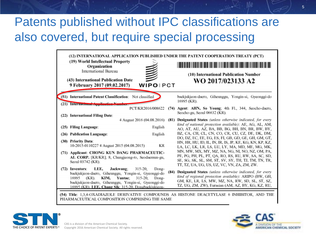# Patents published without IPC classifications are also covered, but require special processing

| (12) INTERNATIONAL APPLICATION PUBLISHED UNDER THE PATENT COOPERATION TREATY (PCT)<br>(19) World Intellectual Property<br>Organization<br><b>International Bureau</b><br>(43) International Publication Date<br><b>WIPOIPCT</b><br>9 February 2017 (09.02.2017)                                       |      | (10) International Publication Number<br>WO 2017/023133 A2                                                                                                                                                                       |
|-------------------------------------------------------------------------------------------------------------------------------------------------------------------------------------------------------------------------------------------------------------------------------------------------------|------|----------------------------------------------------------------------------------------------------------------------------------------------------------------------------------------------------------------------------------|
| (51) International Patent Classification: Not classified<br>(21) International Application.                                                                                                                                                                                                           |      | baekjukjeon-daero, Giheunggu, Yongin-si, Gyeonggi-do<br>16995 (KR).                                                                                                                                                              |
| PCT/KR2016/008622<br>(22) International Filing Date:                                                                                                                                                                                                                                                  |      | (74) Agent: AHN, So Young; 4th Fl., 344, Seocho-daero,<br>Seocho-gu, Seoul 06632 (KR).                                                                                                                                           |
| 4 August 2016 (04.08.2016)                                                                                                                                                                                                                                                                            | (81) | Designated States (unless otherwise indicated, for every                                                                                                                                                                         |
| (25) Filing Language:<br>English                                                                                                                                                                                                                                                                      |      | kind of national protection available): AE, AG, AL, AM,<br>AO, AT, AU, AZ, BA, BB, BG, BH, BN, BR, BW, BY,                                                                                                                       |
| English<br>(26) Publication Language:                                                                                                                                                                                                                                                                 |      | BZ, CA, CH, CL, CN, CO, CR, CU, CZ, DE, DK, DM,                                                                                                                                                                                  |
| (30) Priority Data:<br>10-2015-0110227 4 August 2015 (04.08.2015)<br>КR                                                                                                                                                                                                                               |      | DO, DZ, EC, EE, EG, ES, FL, GB, GD, GE, GH, GM, GT,<br>HN, HR, HU, ID, IL, IN, IR, IS, JP, KE, KG, KN, KP, KZ,<br>LA, LC, LK, LR, LS, LU, LY, MA, MD, ME, MG, MK,                                                                |
| (71) Applicant: CHONG KUN DANG PHARMACEUTIC-<br>AL CORP. [KR/KR]; 8, Chungjeong-ro, Seodaemun-gu,<br>Seoul 03742 (KR).                                                                                                                                                                                |      | MN, MW, MX, MY, MZ, NA, NG, NI, NO, NZ, OM, PA,<br>PE, PG, PH, PL, PT, QA, RO, RS, RU, RW, SA, SC, SD,<br>SE, SG, SK, SL, SM, ST, SV, SY, TH, TJ, TM, TN, TR,<br>TT, TZ, UA, UG, US, UZ, VC, VN, ZA, ZM, ZW.                     |
| LEE.<br>Jaekwang:<br>$315 - 20$ ,<br>(72) Inventors:<br>Dong-<br>baekjukjeon-daero, Giheunggu, Yongin-si, Gyeonggi-do<br>KIM.<br>Yuntae:<br>$(KR)$ .<br>$315 - 20.$<br>Dong-<br>16995<br>baekjukjeon-daero, Giheunggu, Yongin-si, Gyeonggi-do<br>16995 (KR). LEE, Chang Sik: 315-20, Dongbaekjukieon- |      | (84) Designated States (unless otherwise indicated, for every<br>kind of regional protection available): ARIPO (BW, GH,<br>GM, KE, LR, LS, MW, MZ, NA, RW, SD, SL, ST, SZ,<br>TZ, UG, ZM, ZW), Eurasian (AM, AZ, BY, KG, KZ, RU, |
| PHARMACEUTICAL COMPOSITION COMPRISING THE SAME                                                                                                                                                                                                                                                        |      | (54) Title: 1,3,4-OXADIAZOLE DERIVATIVE COMPOUNDS AS HISTONE DEACETYLASE 6 INHIBITOR, AND THE                                                                                                                                    |





CAS is a division of the American Chemical Society. Copyright 2016 American Chemical Society. All rights reserved.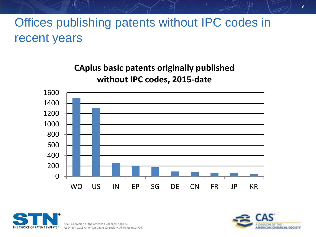# Offices publishing patents without IPC codes in recent years

**CAplus basic patents originally published without IPC codes, 2015-date**





CAS is a division of the American Chemical Society. Copyright 2016 American Chemical Society. All rights reserved.

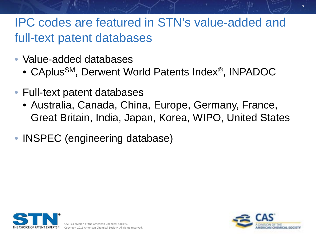# IPC codes are featured in STN's value-added and full-text patent databases

- Value-added databases
	- CAplusSM, Derwent World Patents Index®, INPADOC
- Full-text patent databases
	- Australia, Canada, China, Europe, Germany, France, Great Britain, India, Japan, Korea, WIPO, United States
- **INSPEC** (engineering database)





7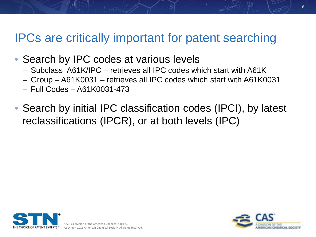### IPCs are critically important for patent searching

- Search by IPC codes at various levels
	- Subclass A61K/IPC retrieves all IPC codes which start with A61K
	- Group A61K0031 retrieves all IPC codes which start with A61K0031
	- Full Codes A61K0031-473
- Search by initial IPC classification codes (IPCI), by latest reclassifications (IPCR), or at both levels (IPC)



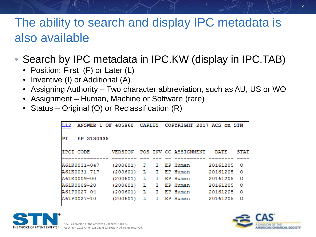# The ability to search and display IPC metadata is also available

- Search by IPC metadata in IPC.KW (display in IPC.TAB)
	- Position: First (F) or Later (L)
	- Inventive (I) or Additional (A)
	- Assigning Authority Two character abbreviation, such as AU, US or WO
	- Assignment Human, Machine or Software (rare)
	- Status Original (O) or Reclassification (R)

```
ANSWER 1 OF 485960 CAPLUS COPYRIGHT 2017 ACS on STN
L12
PI
     EP 3130335
IPCI CODE
                 VERSION
                           POS INV CC ASSIGNMENT
                                                     DATE
                                                             STAT
                                    EP Human
A61K0031-047
                 (200601)20161205
                            F
                                I.
                                                              \circ(200601) L
A61K0031-717
                                Ι.
                                    EP Human
                                                   20161205
                                                              ٥
A61K0009-00
                 (200601) L
                               \mathbf{I}EP Human
                                                   20161205
                                                              \circ(200601) L
A61K0009-20
                                п.
                                    EP Human
                                                   20161205
                                                              o
A61P0027-04
                 (200601) L
                                Ι.
                                    EP Human
                                                   20161205
                                                              Ω
A61P0027-10
                 (200601) L
                                Ι.
                                    EP Human
                                                   20161205
                                                              o
```


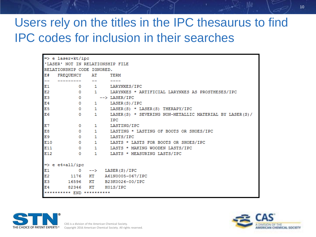# Users rely on the titles in the IPC thesaurus to find IPC codes for inclusion in their searches

| $\Rightarrow$ e laser+kt/ipc     |                               |                                                          |
|----------------------------------|-------------------------------|----------------------------------------------------------|
| "LASER' NOT IN RELATIONSHIP FILE |                               |                                                          |
| RELATIONSHIP CODE IGNORED.       |                               |                                                          |
| E#<br>FREQUENCY AT               |                               | TERM                                                     |
| --                               |                               | $\frac{1}{2}$                                            |
| E1                               |                               | 0 1 LARYNXES/IPC                                         |
| E <sub>2</sub>                   |                               | 0 1 LARYNXES * ARTIFICIAL LARYNXES AS PROSTHESES/IPC     |
| E3                               | $\bullet$                     | --> LASER/IPC                                            |
| E4                               | $\mathbf{0}$ and $\mathbf{0}$ | 1 LASER(S)/IPC                                           |
| E5                               |                               | 0 1 LASER(S) * LASER(S) THERAPY/IPC                      |
| E <sub>6</sub><br>$^{\circ}$     |                               | 1 LASER(S) * SEVERING NON-METALLIC MATERIAL BY LASER(S)/ |
|                                  |                               | <b>IPC</b>                                               |
| E7<br>$\circ$                    |                               | 1 LASTING/IPC                                            |
| E8                               |                               | 0 1 LASTING * LASTING OF BOOTS OR SHOES/IPC              |
| E9                               |                               | 0 1 LASTS/IPC                                            |
| E10                              |                               | 0 1 LASTS * LASTS FOR BOOTS OR SHOES/IPC                 |
| E11                              |                               | 0 1 LASTS * MAKING WOODEN LASTS/IPC                      |
| E12<br>$^{\circ}$                |                               | 1 LASTS * MEASURING LASTS/IPC                            |
|                                  |                               |                                                          |
| $\Rightarrow$ e e4+all/ipc       |                               |                                                          |
| E1                               |                               | $0 \rightarrow -\rangle$ LASER(S)/IPC                    |
| E <sub>2</sub>                   |                               | 1176 KT A61N0005-067/IPC                                 |
| E <sub>3</sub>                   |                               | 16596 KT B23K0026-00/IPC                                 |
| E4                               | 82346 KT H01S/IPC             |                                                          |
| ********** END **********        |                               |                                                          |





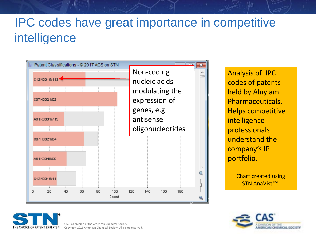# IPC codes have great importance in competitive intelligence



Analysis of IPC codes of patents held by Alnylam Pharmaceuticals. Helps competitive intelligence professionals understand the company's IP portfolio.

> Chart created using **STN AnaVist™.**





CAS is a division of the American Chemical Society. Copyright 2016 American Chemical Society. All rights reserved.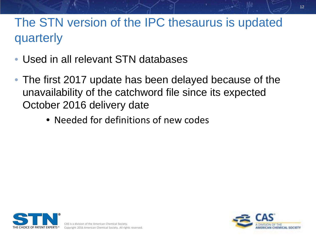# The STN version of the IPC thesaurus is updated quarterly

- Used in all relevant STN databases
- The first 2017 update has been delayed because of the unavailability of the catchword file since its expected October 2016 delivery date
	- Needed for definitions of new codes



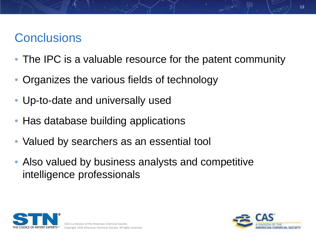# **Conclusions**

- The IPC is a valuable resource for the patent community
- Organizes the various fields of technology
- Up-to-date and universally used
- Has database building applications
- Valued by searchers as an essential tool
- Also valued by business analysts and competitive intelligence professionals



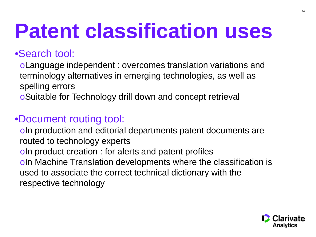# **Patent classification uses**

### •Search tool:

oLanguage independent : overcomes translation variations and terminology alternatives in emerging technologies, as well as spelling errors

oSuitable for Technology drill down and concept retrieval

### •Document routing tool:

oIn production and editorial departments patent documents are routed to technology experts oIn product creation : for alerts and patent profiles oIn Machine Translation developments where the classification is used to associate the correct technical dictionary with the respective technology

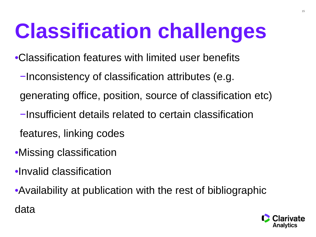# **Classification challenges**

•Classification features with limited user benefits

- −Inconsistency of classification attributes (e.g.
- generating office, position, source of classification etc)
- −Insufficient details related to certain classification
- features, linking codes
- •Missing classification
- •Invalid classification
- •Availability at publication with the rest of bibliographic data

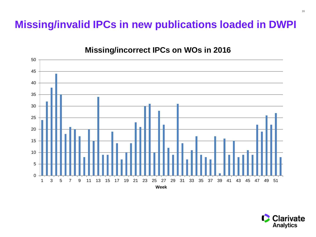### **Missing/invalid IPCs in new publications loaded in DWPI**



#### **Missing/incorrect IPCs on WOs in 2016**

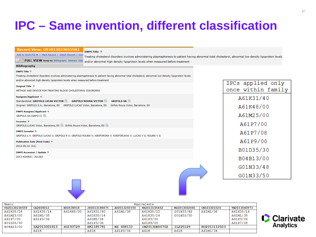# **IPC – Same invention, different classification**

| <b>Record View: US20130236559A1</b><br><b>DWPI Title ?</b><br>Add to Work File $\blacktriangledown$   Mark Record   Watch Record   Dow<br>Treating cholesterol disorders involves administering plasmapheresis to patient having abnormal total cholesterol, abnormal low-density lipoprotein levels<br>FULL VIEW Jump to: Bibliography Abstract Clas<br>and/or abnormal high-density lipoprotein levels when measured before treatment |                                         |
|-----------------------------------------------------------------------------------------------------------------------------------------------------------------------------------------------------------------------------------------------------------------------------------------------------------------------------------------------------------------------------------------------------------------------------------------|-----------------------------------------|
| <b>Bibliography</b><br><b>DWPI Title ?</b>                                                                                                                                                                                                                                                                                                                                                                                              |                                         |
| Treating cholesterol disorders involves administering plasmapheresis to patient having abnormal total cholesterol, abnormal low-density lipoprotein levels<br>and/or abnormal high-density lipoprotein levels when measured before treatment                                                                                                                                                                                            |                                         |
| <b>Original Title ?</b><br>METHOD AND DEVICE FOR TREATING BLOOD CHOLESTEROL DISORDERS                                                                                                                                                                                                                                                                                                                                                   | IPCs applied only<br>once within family |
| Assignee/Applicant ?<br>Standardized: GRIFOLS LUCAS VICTOR<br><b>GRIFOLS ROURA VICTOR</b><br><b>GRIFOLS SA</b>                                                                                                                                                                                                                                                                                                                          | A61K31/40                               |
| Original: GRIFOLS S.A., Barcelona, ES GRIFOLS LUCAS Victor, Barcelona, ES Grifols Roura Victor, Barcelona, ES                                                                                                                                                                                                                                                                                                                           | A61K48/00                               |
| <b>DWPI Assignee/Applicant ?</b><br>GRIFOLS SA (GRFO-C)                                                                                                                                                                                                                                                                                                                                                                                 | A61M25/00                               |
| <b>Inventor ?</b><br>GRIFOLS LUCAS Victor, Barcelona, ES S Grifols Roura Victor, Barcelona, ES S                                                                                                                                                                                                                                                                                                                                        | A61P7/00                                |
| <b>DWPI Inventor ?</b><br>GRIFOLS L V; GRIFOLS LUCAS V; GRIFOLS R V; GRIFOLS ROURA V; KIRIFORORA V; KIRIFORUKAS V; LUCAS V G; ROURA V G                                                                                                                                                                                                                                                                                                 | A61P7/08                                |
| <b>Publication Date (Kind Code) ?</b>                                                                                                                                                                                                                                                                                                                                                                                                   | A61P9/00                                |
| 2013-09-12 (A1)<br><b>DWPI Accession / Update ?</b>                                                                                                                                                                                                                                                                                                                                                                                     | B01D35/30                               |
| 2013-N24900 / 201363                                                                                                                                                                                                                                                                                                                                                                                                                    | B04B13/00                               |
|                                                                                                                                                                                                                                                                                                                                                                                                                                         | G01N33/48                               |
|                                                                                                                                                                                                                                                                                                                                                                                                                                         | G01N33/50                               |
|                                                                                                                                                                                                                                                                                                                                                                                                                                         |                                         |

| Basic         | Equivalents  |           |              |              |               |              |              |              |
|---------------|--------------|-----------|--------------|--------------|---------------|--------------|--------------|--------------|
| US20130236559 | CA2809012    | EP2638918 | JP2013188475 | AU2013201550 | KR2013105452  | MX2013002681 | CN103301520  | TW2013040973 |
| A61K35/14     | A61K35/14    | A61K48/00 | A61K31/40    | A61M1/38     | A61K35/12     | G01N33/48    | A61M1/38     | A61K35/14    |
| A61M25/00     | A61M1/38     |           | A61K35/14    |              | A61K35/14     | G01N33/50    |              | A61M1/38     |
| A61P7/00      | A61P3/06     |           | A61M1/34     |              | A61P3/00      |              |              | A61P3/06     |
| B01D35/30     |              |           | A61P3/06     |              | A61P9/00      |              |              | A61P7/08     |
| B04B13/00     | ZA2013001815 | SG193729  | HK1185791    | NZ 608133    | IN2013DE00702 | IL225129     | RU2013110503 |              |
|               | A61K         |           | A61K         | A61P3/06     | A61K          | A61K         | A61M1/34     |              |

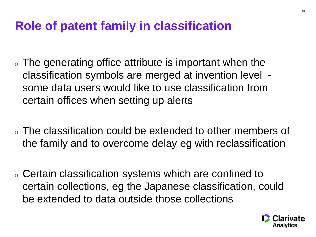### **Role of patent family in classification**

- . The generating office attribute is important when the classification symbols are merged at invention level some data users would like to use classification from certain offices when setting up alerts
- $\circ$  The classification could be extended to other members of the family and to overcome delay eg with reclassification
- <sup>o</sup> Certain classification systems which are confined to certain collections, eg the Japanese classification, could be extended to data outside those collections

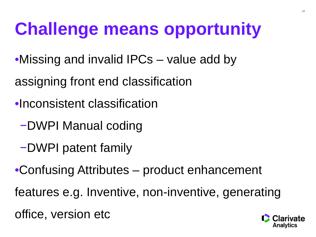# **Challenge means opportunity**

- •Missing and invalid IPCs value add by
- assigning front end classification
- •Inconsistent classification
	- −DWPI Manual coding
	- −DWPI patent family
- •Confusing Attributes product enhancement
- features e.g. Inventive, non-inventive, generating
- office, version etc

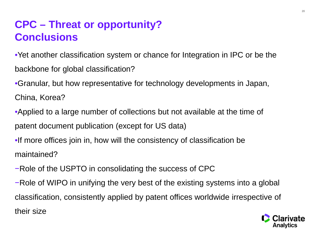### **CPC – Threat or opportunity? Conclusions**

•Yet another classification system or chance for Integration in IPC or be the backbone for global classification?

•Granular, but how representative for technology developments in Japan, China, Korea?

•Applied to a large number of collections but not available at the time of patent document publication (except for US data)

•If more offices join in, how will the consistency of classification be maintained?

−Role of the USPTO in consolidating the success of CPC

−Role of WIPO in unifying the very best of the existing systems into a global classification, consistently applied by patent offices worldwide irrespective of their size

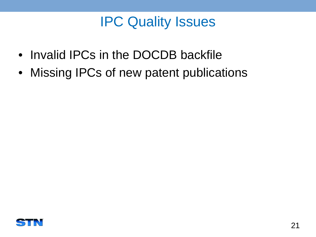# IPC Quality Issues

- Invalid IPCs in the DOCDB backfile
- Missing IPCs of new patent publications

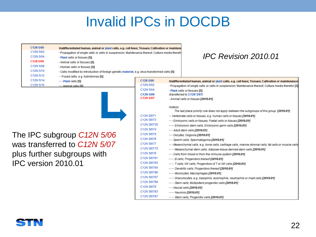| C12N 5/00           | Undifferentiated human, animal or plant cells, e.g. cell lines; Tissues; Cultivation or maintena |                                                                                                                                                                                                                                                                                                                                                                                                                                                                                                                       |         |                                                                                                                                                                                                                                                                                                                                                                                                                                                                                                                                                                                                                                                                                                                                                                                                                                                                                                                                                                                                                                                                                               |
|---------------------|--------------------------------------------------------------------------------------------------|-----------------------------------------------------------------------------------------------------------------------------------------------------------------------------------------------------------------------------------------------------------------------------------------------------------------------------------------------------------------------------------------------------------------------------------------------------------------------------------------------------------------------|---------|-----------------------------------------------------------------------------------------------------------------------------------------------------------------------------------------------------------------------------------------------------------------------------------------------------------------------------------------------------------------------------------------------------------------------------------------------------------------------------------------------------------------------------------------------------------------------------------------------------------------------------------------------------------------------------------------------------------------------------------------------------------------------------------------------------------------------------------------------------------------------------------------------------------------------------------------------------------------------------------------------------------------------------------------------------------------------------------------------|
| C12N 5/02           | · Propagation of single cells or cells in suspension; Maintenance thereof; Culture media therefo |                                                                                                                                                                                                                                                                                                                                                                                                                                                                                                                       |         |                                                                                                                                                                                                                                                                                                                                                                                                                                                                                                                                                                                                                                                                                                                                                                                                                                                                                                                                                                                                                                                                                               |
| C12N 5/04           | · Plant cells or tissues [5]                                                                     |                                                                                                                                                                                                                                                                                                                                                                                                                                                                                                                       |         | <b>IPC Revision 2010.01</b>                                                                                                                                                                                                                                                                                                                                                                                                                                                                                                                                                                                                                                                                                                                                                                                                                                                                                                                                                                                                                                                                   |
| C12N 5/06           | · Animal cells or tissues [5]                                                                    |                                                                                                                                                                                                                                                                                                                                                                                                                                                                                                                       |         |                                                                                                                                                                                                                                                                                                                                                                                                                                                                                                                                                                                                                                                                                                                                                                                                                                                                                                                                                                                                                                                                                               |
| C12N 5/08           | · Human cells or tissues [5]                                                                     |                                                                                                                                                                                                                                                                                                                                                                                                                                                                                                                       |         |                                                                                                                                                                                                                                                                                                                                                                                                                                                                                                                                                                                                                                                                                                                                                                                                                                                                                                                                                                                                                                                                                               |
| C12N 5/10           | • Cells modified by introduction of foreign genetic material, e.g. virus-transformed cells [5]   |                                                                                                                                                                                                                                                                                                                                                                                                                                                                                                                       |         |                                                                                                                                                                                                                                                                                                                                                                                                                                                                                                                                                                                                                                                                                                                                                                                                                                                                                                                                                                                                                                                                                               |
| C12N 5/12           | Fused cells, e.g. hybridomas [5]                                                                 |                                                                                                                                                                                                                                                                                                                                                                                                                                                                                                                       |         |                                                                                                                                                                                                                                                                                                                                                                                                                                                                                                                                                                                                                                                                                                                                                                                                                                                                                                                                                                                                                                                                                               |
| C12N 5/14           | $\cdots$ Plant cells [5]                                                                         | C12N 5/00                                                                                                                                                                                                                                                                                                                                                                                                                                                                                                             |         | Undifferentiated human, animal or plant cells, e.g. cell lines; Tissues; Cultivation or maintenance                                                                                                                                                                                                                                                                                                                                                                                                                                                                                                                                                                                                                                                                                                                                                                                                                                                                                                                                                                                           |
| C12N 5/16           | $\cdots$ Animal cells [5]                                                                        | C12N 5/02                                                                                                                                                                                                                                                                                                                                                                                                                                                                                                             |         | · Propagation of single cells or cells in suspension; Maintenance thereof; Culture media therefor [3]                                                                                                                                                                                                                                                                                                                                                                                                                                                                                                                                                                                                                                                                                                                                                                                                                                                                                                                                                                                         |
|                     |                                                                                                  | C12N 5/04                                                                                                                                                                                                                                                                                                                                                                                                                                                                                                             |         | · Plant cells or tissues [5]                                                                                                                                                                                                                                                                                                                                                                                                                                                                                                                                                                                                                                                                                                                                                                                                                                                                                                                                                                                                                                                                  |
|                     |                                                                                                  | C12N 5/06                                                                                                                                                                                                                                                                                                                                                                                                                                                                                                             |         | (transferred to C12N 5/07)                                                                                                                                                                                                                                                                                                                                                                                                                                                                                                                                                                                                                                                                                                                                                                                                                                                                                                                                                                                                                                                                    |
|                     |                                                                                                  | C12N 5/07                                                                                                                                                                                                                                                                                                                                                                                                                                                                                                             |         | · Animal cells or tissues [2010.01]                                                                                                                                                                                                                                                                                                                                                                                                                                                                                                                                                                                                                                                                                                                                                                                                                                                                                                                                                                                                                                                           |
| IPC version 2010.01 | The IPC subgroup C12N 5/06<br>was transferred to C12N 5/07<br>plus further subgroups with        | C <sub>12</sub> N <sub>5</sub> /071<br>C <sub>12</sub> N 5/073<br>C <sub>12</sub> N 5/0735<br>C <sub>12</sub> N 5/074<br>C <sub>12</sub> N <sub>5</sub> /075<br>C <sub>12</sub> N 5/076<br>C <sub>12</sub> N 5/077<br>C <sub>12</sub> N <sub>5</sub> /0775<br>C <sub>12</sub> N 5/078<br>C12N 5/0781<br>C <sub>12</sub> N 5/0783<br>C12N 5/0784<br>C <sub>12</sub> N 5/0786<br>C12N 5/0787<br>C <sub>12</sub> N 5/0789<br>C <sub>12</sub> N 5/079<br>C <sub>12</sub> N 5/0793<br>C <sub>12</sub> N <sub>5</sub> /0797 | Note(s) | The last place priority rule does not apply between the subgroups of this group. [2010.01]<br>Vertebrate cells or tissues, e.g. human cells or tissues [2010.01]<br>Embryonic cells or tissues: Foetal cells or tissues [2010.01]<br>Embryonic stem cells: Embryonic germ cells [2010.01]<br>$\cdots$ Adult stem cells [2010.01]<br>Oocytes; Oogonia [2010.01]<br>Sperm cells; Spermatogonia [2010.01]<br>Mesenchymal cells, e.g. bone cells, cartilage cells, marrow stromal cells, fat cells or muscle cells<br>Mesenchymal stem cells; Adipose-tissue derived stem cells [2010.01]<br>Cells from blood or from the immune system [2010.01]<br>B cells: Progenitors thereof [2010.01]<br>T cells: NK cells: Progenitors of T or NK cells [2010.01]<br>Dendritic cells; Progenitors thereof [2010.01]<br>Monocytes; Macrophages [2010.01]<br>Granulocytes, e.g. basophils, eosinophils, neutrophils or mast cells [2010.01]<br>Stem cells; Multipotent progenitor cells [2010.01]<br>$\cdots$ Neural cells [2010.01]<br>$\cdots$ Neurons [2010.01]<br>Stem cells: Progenitor cells [2010.01] |

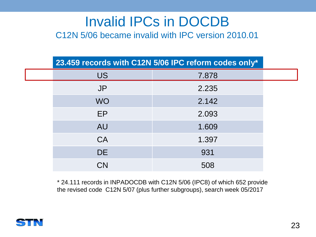C12N 5/06 became invalid with IPC version 2010.01

| 23.459 records with C12N 5/06 IPC reform codes only* |       |  |  |  |
|------------------------------------------------------|-------|--|--|--|
| <b>US</b>                                            | 7.878 |  |  |  |
| <b>JP</b>                                            | 2.235 |  |  |  |
| <b>WO</b>                                            | 2.142 |  |  |  |
| EP                                                   | 2.093 |  |  |  |
| <b>AU</b>                                            | 1.609 |  |  |  |
| <b>CA</b>                                            | 1.397 |  |  |  |
| <b>DE</b>                                            | 931   |  |  |  |
| <b>CN</b>                                            | 508   |  |  |  |

\* 24.111 records in INPADOCDB with C12N 5/06 (IPC8) of which 652 provide the revised code C12N 5/07 (plus further subgroups), search week 05/2017

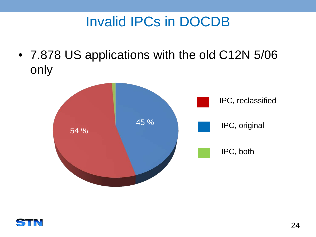• 7.878 US applications with the old C12N 5/06 only



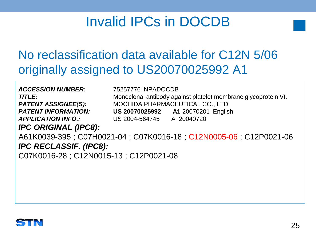# No reclassification data available for C12N 5/06 originally assigned to US20070025992 A1

*ACCESSION NUMBER:* 75257776 INPADOCDB

**TITLE:** Monoclonal antibody against platelet membrane glycoprotein VI. *PATENT ASSIGNEE(S):* MOCHIDA PHARMACEUTICAL CO., LTD *PATENT INFORMATION:* **US 20070025992 A1** 20070201 English *APPLICATION INFO.:* US 2004-564745 A 20040720

*IPC ORIGINAL (IPC8):* 

A61K0039-395 ; C07H0021-04 ; C07K0016-18 ; C12N0005-06 ; C12P0021-06 *IPC RECLASSIF. (IPC8):* C07K0016-28 ; C12N0015-13 ; C12P0021-08

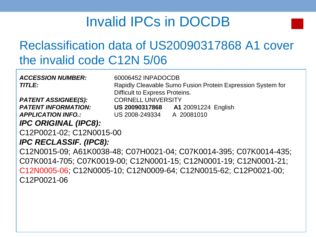# Reclassification data of US20090317868 A1 cover the invalid code C12N 5/06

*ACCESSION NUMBER:* 60006452 INPADOCDB **TITLE:** Rapidly Cleavable Sumo Fusion Protein Expression System for Difficult to Express Proteins. **PATENT ASSIGNEE(S):** CORNELL UNIVERSITY *PATENT INFORMATION:* **US 20090317868 A1** 20091224 English *APPLICATION INFO.:* US 2008-249334 A 20081010 *IPC ORIGINAL (IPC8):*  C12P0021-02; C12N0015-00 *IPC RECLASSIF. (IPC8):* C12N0015-09; A61K0038-48; C07H0021-04; C07K0014-395; C07K0014-435; C07K0014-705; C07K0019-00; C12N0001-15; C12N0001-19; C12N0001-21; C12N0005-06; C12N0005-10; C12N0009-64; C12N0015-62; C12P0021-00; C12P0021-06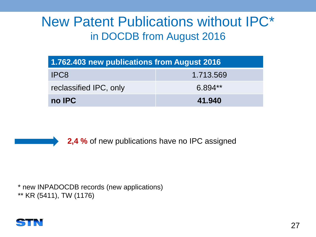# New Patent Publications without IPC\* in DOCDB from August 2016

| 1.762.403 new publications from August 2016 |           |  |  |  |
|---------------------------------------------|-----------|--|--|--|
| 1.713.569<br>IPC8                           |           |  |  |  |
| reclassified IPC, only                      | $6.894**$ |  |  |  |
| no IPC<br>41.940                            |           |  |  |  |



**2,4 %** of new publications have no IPC assigned

\* new INPADOCDB records (new applications) \*\* KR (5411), TW (1176)

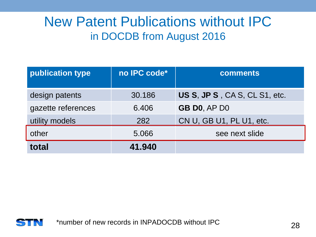# New Patent Publications without IPC in DOCDB from August 2016

| publication type   | no IPC code* | <b>comments</b>               |
|--------------------|--------------|-------------------------------|
| design patents     | 30.186       | US S, JP S, CA S, CL S1, etc. |
| gazette references | 6.406        | <b>GB DO, AP DO</b>           |
| utility models     | 282          | CN U, GB U1, PL U1, etc.      |
| other              | 5.066        | see next slide                |
| total              | 41.940       |                               |

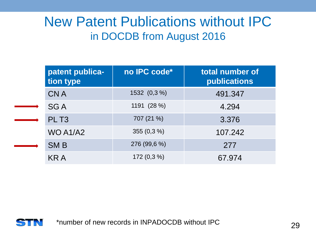# New Patent Publications without IPC in DOCDB from August 2016

|  | patent publica-<br>tion type | no IPC code*  | total number of<br><b>publications</b> |
|--|------------------------------|---------------|----------------------------------------|
|  | <b>CNA</b>                   | 1532 (0,3 %)  | 491.347                                |
|  | <b>SGA</b>                   | 1191 (28 %)   | 4.294                                  |
|  | PLT <sub>3</sub>             | 707 (21 %)    | 3.376                                  |
|  | WO A1/A2                     | 355 $(0,3\%)$ | 107.242                                |
|  | <b>SMB</b>                   | 276 (99,6 %)  | 277                                    |
|  | KR A                         | $172(0,3\%)$  | 67.974                                 |